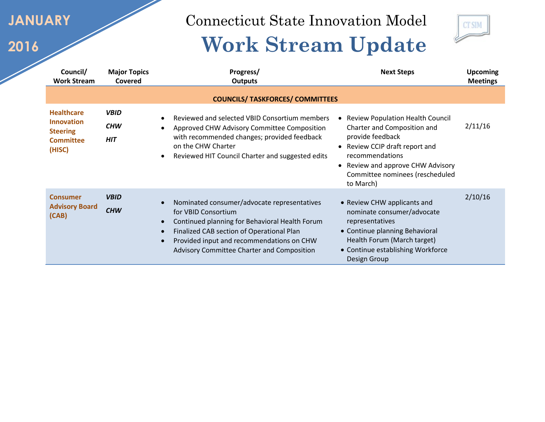**JANUARY**

**2016**

Connecticut State Innovation Model

## **Work Stream Update**



| Council/<br><b>Work Stream</b>                                                          | <b>Major Topics</b><br>Covered          | Progress/<br><b>Outputs</b>                                                                                                                                                                                                                                  | <b>Next Steps</b>                                                                                                                                                                                                                  | <b>Upcoming</b><br><b>Meetings</b> |
|-----------------------------------------------------------------------------------------|-----------------------------------------|--------------------------------------------------------------------------------------------------------------------------------------------------------------------------------------------------------------------------------------------------------------|------------------------------------------------------------------------------------------------------------------------------------------------------------------------------------------------------------------------------------|------------------------------------|
|                                                                                         |                                         | <b>COUNCILS/ TASKFORCES/ COMMITTEES</b>                                                                                                                                                                                                                      |                                                                                                                                                                                                                                    |                                    |
| <b>Healthcare</b><br><b>Innovation</b><br><b>Steering</b><br><b>Committee</b><br>(HISC) | <b>VBID</b><br><b>CHW</b><br><b>HIT</b> | Reviewed and selected VBID Consortium members<br>Approved CHW Advisory Committee Composition<br>with recommended changes; provided feedback<br>on the CHW Charter<br>Reviewed HIT Council Charter and suggested edits                                        | <b>Review Population Health Council</b><br>Charter and Composition and<br>provide feedback<br>• Review CCIP draft report and<br>recommendations<br>Review and approve CHW Advisory<br>Committee nominees (rescheduled<br>to March) | 2/11/16                            |
| <b>Consumer</b><br><b>Advisory Board</b><br>(CAB)                                       | <b>VBID</b><br><b>CHW</b>               | Nominated consumer/advocate representatives<br>for VBID Consortium<br>Continued planning for Behavioral Health Forum<br>Finalized CAB section of Operational Plan<br>Provided input and recommendations on CHW<br>Advisory Committee Charter and Composition | • Review CHW applicants and<br>nominate consumer/advocate<br>representatives<br>• Continue planning Behavioral<br>Health Forum (March target)<br>• Continue establishing Workforce<br>Design Group                                 | 2/10/16                            |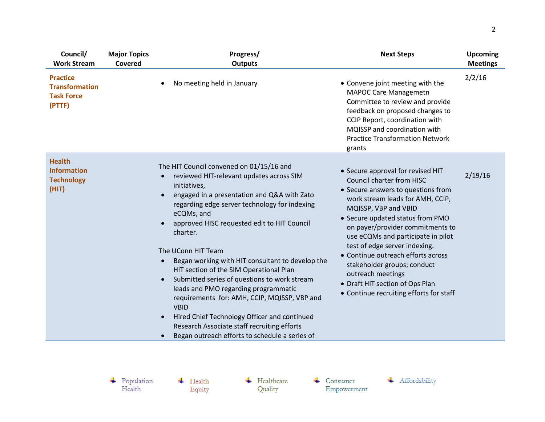| Council/<br><b>Work Stream</b>                                          | <b>Major Topics</b><br>Covered | Progress/<br><b>Outputs</b>                                                                                                                                                                                                                                                                                                                                                                                                                                                                                                                                                                                                                                                                                                                                                              | <b>Next Steps</b>                                                                                                                                                                                                                                                                                                                                                                                                                                                                              | <b>Upcoming</b><br><b>Meetings</b> |
|-------------------------------------------------------------------------|--------------------------------|------------------------------------------------------------------------------------------------------------------------------------------------------------------------------------------------------------------------------------------------------------------------------------------------------------------------------------------------------------------------------------------------------------------------------------------------------------------------------------------------------------------------------------------------------------------------------------------------------------------------------------------------------------------------------------------------------------------------------------------------------------------------------------------|------------------------------------------------------------------------------------------------------------------------------------------------------------------------------------------------------------------------------------------------------------------------------------------------------------------------------------------------------------------------------------------------------------------------------------------------------------------------------------------------|------------------------------------|
| <b>Practice</b><br><b>Transformation</b><br><b>Task Force</b><br>(PTTF) |                                | No meeting held in January<br>$\bullet$                                                                                                                                                                                                                                                                                                                                                                                                                                                                                                                                                                                                                                                                                                                                                  | • Convene joint meeting with the<br><b>MAPOC Care Managemetn</b><br>Committee to review and provide<br>feedback on proposed changes to<br>CCIP Report, coordination with<br>MQISSP and coordination with<br><b>Practice Transformation Network</b><br>grants                                                                                                                                                                                                                                   | 2/2/16                             |
| <b>Health</b><br><b>Information</b><br><b>Technology</b><br>(HIT)       |                                | The HIT Council convened on 01/15/16 and<br>reviewed HIT-relevant updates across SIM<br>$\bullet$<br>initiatives,<br>engaged in a presentation and Q&A with Zato<br>$\bullet$<br>regarding edge server technology for indexing<br>eCQMs, and<br>approved HISC requested edit to HIT Council<br>$\bullet$<br>charter.<br>The UConn HIT Team<br>Began working with HIT consultant to develop the<br>HIT section of the SIM Operational Plan<br>Submitted series of questions to work stream<br>$\bullet$<br>leads and PMO regarding programmatic<br>requirements for: AMH, CCIP, MQISSP, VBP and<br><b>VBID</b><br>Hired Chief Technology Officer and continued<br>$\bullet$<br>Research Associate staff recruiting efforts<br>Began outreach efforts to schedule a series of<br>$\bullet$ | • Secure approval for revised HIT<br><b>Council charter from HISC</b><br>• Secure answers to questions from<br>work stream leads for AMH, CCIP,<br>MQISSP, VBP and VBID<br>• Secure updated status from PMO<br>on payer/provider commitments to<br>use eCQMs and participate in pilot<br>test of edge server indexing.<br>• Continue outreach efforts across<br>stakeholder groups; conduct<br>outreach meetings<br>• Draft HIT section of Ops Plan<br>• Continue recruiting efforts for staff | 2/19/16                            |

 $\leftarrow$  Health Equity  $\leftarrow$  Healthcare Quality

 $\leftarrow$  Consumer  ${\bf Empowerment}$ 

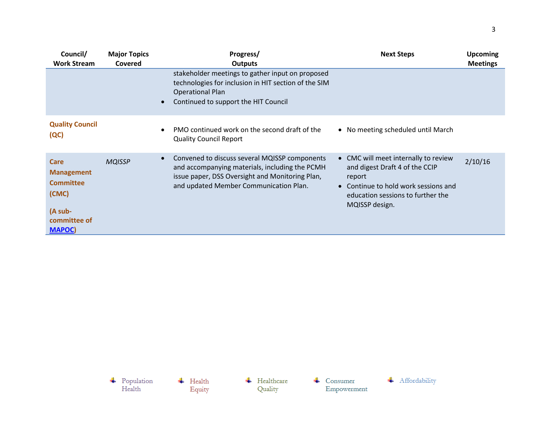| Council/<br><b>Work Stream</b>                                                                            | <b>Major Topics</b><br>Covered | Progress/<br><b>Outputs</b>                                                                                                                                                                               | <b>Next Steps</b>                                                                                                                                                               | <b>Upcoming</b><br><b>Meetings</b> |
|-----------------------------------------------------------------------------------------------------------|--------------------------------|-----------------------------------------------------------------------------------------------------------------------------------------------------------------------------------------------------------|---------------------------------------------------------------------------------------------------------------------------------------------------------------------------------|------------------------------------|
|                                                                                                           |                                | stakeholder meetings to gather input on proposed<br>technologies for inclusion in HIT section of the SIM<br><b>Operational Plan</b><br>Continued to support the HIT Council                               |                                                                                                                                                                                 |                                    |
| <b>Quality Council</b><br>(QC)                                                                            |                                | PMO continued work on the second draft of the<br><b>Quality Council Report</b>                                                                                                                            | • No meeting scheduled until March                                                                                                                                              |                                    |
| <b>Care</b><br><b>Management</b><br><b>Committee</b><br>(CMC)<br>(A sub-<br>committee of<br><b>MAPOC)</b> | <b>MQISSP</b>                  | Convened to discuss several MQISSP components<br>$\bullet$<br>and accompanying materials, including the PCMH<br>issue paper, DSS Oversight and Monitoring Plan,<br>and updated Member Communication Plan. | • CMC will meet internally to review<br>and digest Draft 4 of the CCIP<br>report<br>• Continue to hold work sessions and<br>education sessions to further the<br>MQISSP design. | 2/10/16                            |

 $\begin{tabular}{c} \textbf{4} \quad Population \\ Health \end{tabular}$  $\begin{tabular}{ll} \textbf{+} & \textbf{Healthcare} \\ \textbf{Quality} & \end{tabular}$  $\leftarrow$  Health Equity

 $\begin{tabular}{ll} \textbf{4} & \textbf{Consumer} \\ \textbf{Empowerment} \end{tabular}$ 

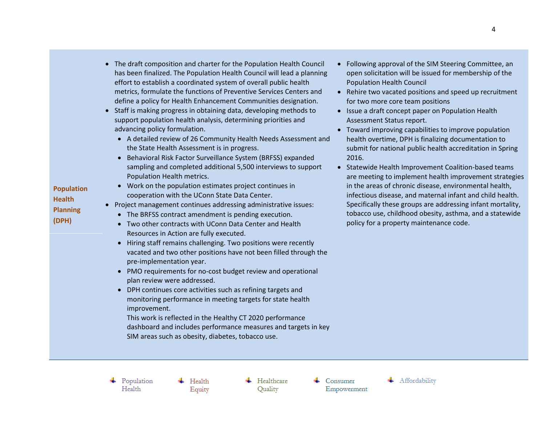| <b>Population</b><br><b>Health</b><br><b>Planning</b><br>(DPH) | effort to establish a coordinated system of overall public health<br>metrics, formulate the functions of Preventive Services Centers and<br>define a policy for Health Enhancement Communities designation.<br>Staff is making progress in obtaining data, developing methods to<br>support population health analysis, determining priorities and<br>advancing policy formulation.<br>• A detailed review of 26 Community Health Needs Assessment and<br>the State Health Assessment is in progress.<br>Behavioral Risk Factor Surveillance System (BRFSS) expanded<br>sampling and completed additional 5,500 interviews to support<br>Population Health metrics.<br>Work on the population estimates project continues in<br>cooperation with the UConn State Data Center.<br>Project management continues addressing administrative issues:<br>• The BRFSS contract amendment is pending execution.<br>Two other contracts with UConn Data Center and Health<br>Resources in Action are fully executed.<br>Hiring staff remains challenging. Two positions were recently<br>vacated and two other positions have not been filled through the<br>pre-implementation year.<br>PMO requirements for no-cost budget review and operational<br>plan review were addressed.<br>DPH continues core activities such as refining targets and<br>monitoring performance in meeting targets for state health<br>improvement.<br>This work is reflected in the Healthy CT 2020 performance<br>dashboard and includes performance measures and targets in key<br>SIM areas such as obesity, diabetes, tobacco use. | Populatio<br>Rehire tw<br>for two m<br>$\bullet$ Issue a dr<br>Assessme<br>Toward in<br>$\bullet$<br>health ov<br>submit fo<br>2016.<br>• Statewide<br>are meeti<br>in the are<br>infectious<br>Specifical<br>tobacco u<br>policy for |
|----------------------------------------------------------------|-----------------------------------------------------------------------------------------------------------------------------------------------------------------------------------------------------------------------------------------------------------------------------------------------------------------------------------------------------------------------------------------------------------------------------------------------------------------------------------------------------------------------------------------------------------------------------------------------------------------------------------------------------------------------------------------------------------------------------------------------------------------------------------------------------------------------------------------------------------------------------------------------------------------------------------------------------------------------------------------------------------------------------------------------------------------------------------------------------------------------------------------------------------------------------------------------------------------------------------------------------------------------------------------------------------------------------------------------------------------------------------------------------------------------------------------------------------------------------------------------------------------------------------------------------------------------------------------------------------|---------------------------------------------------------------------------------------------------------------------------------------------------------------------------------------------------------------------------------------|
|----------------------------------------------------------------|-----------------------------------------------------------------------------------------------------------------------------------------------------------------------------------------------------------------------------------------------------------------------------------------------------------------------------------------------------------------------------------------------------------------------------------------------------------------------------------------------------------------------------------------------------------------------------------------------------------------------------------------------------------------------------------------------------------------------------------------------------------------------------------------------------------------------------------------------------------------------------------------------------------------------------------------------------------------------------------------------------------------------------------------------------------------------------------------------------------------------------------------------------------------------------------------------------------------------------------------------------------------------------------------------------------------------------------------------------------------------------------------------------------------------------------------------------------------------------------------------------------------------------------------------------------------------------------------------------------|---------------------------------------------------------------------------------------------------------------------------------------------------------------------------------------------------------------------------------------|

 $\leftarrow$  Health

Equity

 $\leftarrow$  Healthcare

Quality

 $\leftarrow$  Consumer

Empowerment

 $\leftarrow$  Population

Health

 The draft composition and charter for the Population Health Council has been finalized. The Population Health Council will lead a planning

- Following approval of the SIM Steering Committee, an open solicitation will be issued for membership of the Population Health Council
- o vacated positions and speed up recruitment nore core team positions
- raft concept paper on Population Health ent Status report.
- mproving capabilities to improve population ertime, DPH is finalizing documentation to r national public health accreditation in Spring
- Health Improvement Coalition-based teams ing to implement health improvement strategies as of chronic disease, environmental health, disease, and maternal infant and child health. ly these groups are addressing infant mortality, ise, childhood obesity, asthma, and a statewide a property maintenance code.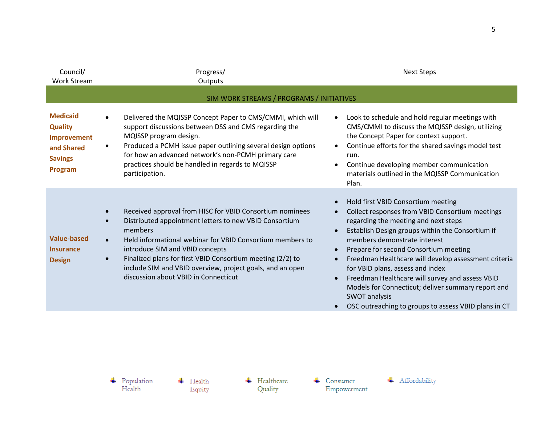| Council/<br><b>Work Stream</b>                                                              | Progress/<br>Outputs                                                                                                                                                                                                                                                                                                                                                                                                                    | <b>Next Steps</b>                                                                                                                                                                                                                                                                                                                                                                                                                                                                                                                                                         |  |  |  |
|---------------------------------------------------------------------------------------------|-----------------------------------------------------------------------------------------------------------------------------------------------------------------------------------------------------------------------------------------------------------------------------------------------------------------------------------------------------------------------------------------------------------------------------------------|---------------------------------------------------------------------------------------------------------------------------------------------------------------------------------------------------------------------------------------------------------------------------------------------------------------------------------------------------------------------------------------------------------------------------------------------------------------------------------------------------------------------------------------------------------------------------|--|--|--|
|                                                                                             | SIM WORK STREAMS / PROGRAMS / INITIATIVES                                                                                                                                                                                                                                                                                                                                                                                               |                                                                                                                                                                                                                                                                                                                                                                                                                                                                                                                                                                           |  |  |  |
| <b>Medicaid</b><br><b>Quality</b><br>Improvement<br>and Shared<br><b>Savings</b><br>Program | Delivered the MQISSP Concept Paper to CMS/CMMI, which will<br>$\bullet$<br>support discussions between DSS and CMS regarding the<br>MQISSP program design.<br>Produced a PCMH issue paper outlining several design options<br>٠<br>for how an advanced network's non-PCMH primary care<br>practices should be handled in regards to MQISSP<br>participation.                                                                            | Look to schedule and hold regular meetings with<br>CMS/CMMI to discuss the MQISSP design, utilizing<br>the Concept Paper for context support.<br>Continue efforts for the shared savings model test<br>run.<br>Continue developing member communication<br>materials outlined in the MQISSP Communication<br>Plan.                                                                                                                                                                                                                                                        |  |  |  |
| <b>Value-based</b><br><b>Insurance</b><br><b>Design</b>                                     | Received approval from HISC for VBID Consortium nominees<br>Distributed appointment letters to new VBID Consortium<br>$\bullet$<br>members<br>Held informational webinar for VBID Consortium members to<br>$\bullet$<br>introduce SIM and VBID concepts<br>Finalized plans for first VBID Consortium meeting (2/2) to<br>$\bullet$<br>include SIM and VBID overview, project goals, and an open<br>discussion about VBID in Connecticut | Hold first VBID Consortium meeting<br>Collect responses from VBID Consortium meetings<br>regarding the meeting and next steps<br>Establish Design groups within the Consortium if<br>$\bullet$<br>members demonstrate interest<br>Prepare for second Consortium meeting<br>$\bullet$<br>Freedman Healthcare will develop assessment criteria<br>for VBID plans, assess and index<br>Freedman Healthcare will survey and assess VBID<br>Models for Connecticut; deliver summary report and<br><b>SWOT analysis</b><br>OSC outreaching to groups to assess VBID plans in CT |  |  |  |

 $\leftarrow$  Health Equity  $\leftarrow$  Healthcare Quality

 $\leftarrow$  Consumer  ${\bf Empowerment}$ 

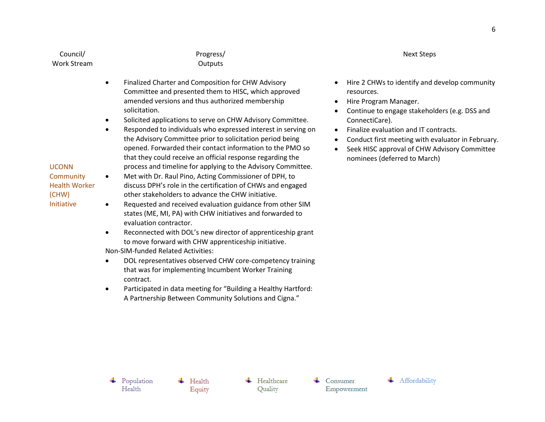Council/ Work Stream Progress/ **Outputs** 

- Finalized Charter and Composition for CHW Advisory Committee and presented them to HISC, which approved amended versions and thus authorized membership solicitation.
- Solicited applications to serve on CHW Advisory Committee.
- Responded to individuals who expressed interest in serving on the Advisory Committee prior to solicitation period being opened. Forwarded their contact information to the PMO so that they could receive an official response regarding the process and timeline for applying to the Advisory Committee.
- Met with Dr. Raul Pino, Acting Commissioner of DPH, to discuss DPH's role in the certification of CHWs and engaged other stakeholders to advance the CHW initiative.
- Requested and received evaluation guidance from other SIM states (ME, MI, PA) with CHW initiatives and forwarded to evaluation contractor.
- Reconnected with DOL's new director of apprenticeship grant to move forward with CHW apprenticeship initiative.
- Non-SIM-funded Related Activities:
- DOL representatives observed CHW core-competency training that was for implementing Incumbent Worker Training contract.
- Participated in data meeting for "Building a Healthy Hartford: A Partnership Between Community Solutions and Cigna."

## Next Steps

- Hire 2 CHWs to identify and develop community resources.
- Hire Program Manager.
- Continue to engage stakeholders (e.g. DSS and ConnectiCare).
- Finalize evaluation and IT contracts.
- Conduct first meeting with evaluator in February.
- Seek HISC approval of CHW Advisory Committee nominees (deferred to March)

UCONN **Community** Health Worker

(CHW) Initiative

 $\leftarrow$  Population Health

 $\leftarrow$  Health Equity

 $\leftarrow$  Healthcare Quality

Consumer Empowerment

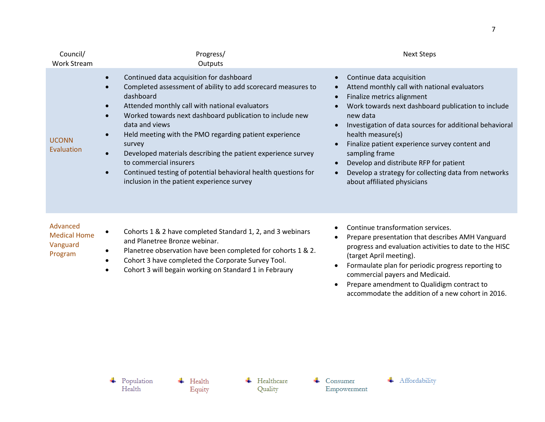| Council/<br><b>Work Stream</b> | Progress/<br>Outputs                                                                                                                                                                                                                                                                                                                                                                                                                                                                                                                                                                    | <b>Next Steps</b>                                                                                                                                                                                                                                                                                                                                                                                                                                              |
|--------------------------------|-----------------------------------------------------------------------------------------------------------------------------------------------------------------------------------------------------------------------------------------------------------------------------------------------------------------------------------------------------------------------------------------------------------------------------------------------------------------------------------------------------------------------------------------------------------------------------------------|----------------------------------------------------------------------------------------------------------------------------------------------------------------------------------------------------------------------------------------------------------------------------------------------------------------------------------------------------------------------------------------------------------------------------------------------------------------|
| <b>UCONN</b><br>Evaluation     | Continued data acquisition for dashboard<br>Completed assessment of ability to add scorecard measures to<br>dashboard<br>Attended monthly call with national evaluators<br>$\bullet$<br>Worked towards next dashboard publication to include new<br>data and views<br>Held meeting with the PMO regarding patient experience<br>$\bullet$<br>survey<br>Developed materials describing the patient experience survey<br>$\bullet$<br>to commercial insurers<br>Continued testing of potential behavioral health questions for<br>$\bullet$<br>inclusion in the patient experience survey | Continue data acquisition<br>Attend monthly call with national evaluators<br>Finalize metrics alignment<br>Work towards next dashboard publication to include<br>new data<br>Investigation of data sources for additional behavioral<br>health measure(s)<br>Finalize patient experience survey content and<br>sampling frame<br>Develop and distribute RFP for patient<br>Develop a strategy for collecting data from networks<br>about affiliated physicians |
| <b>Advanced</b>                |                                                                                                                                                                                                                                                                                                                                                                                                                                                                                                                                                                                         |                                                                                                                                                                                                                                                                                                                                                                                                                                                                |

| Advanced            |                                                                           |
|---------------------|---------------------------------------------------------------------------|
| <b>Medical Home</b> | Cohorts 1 & 2 have completed Standard 1, 2, and 3 webinars<br>$\bullet$   |
| Vanguard            | and Planetree Bronze webinar.                                             |
| Program             | Planetree observation have been completed for cohorts 1 & 2.<br>$\bullet$ |
|                     | Cohort 3 have completed the Corporate Survey Tool.                        |

Cohort 3 will begain working on Standard 1 in Febraury

- Continue transformation services.
- Prepare presentation that describes AMH Vanguard progress and evaluation activities to date to the HISC (target April meeting).
- Formaulate plan for periodic progress reporting to commercial payers and Medicaid.
- Prepare amendment to Qualidigm contract to accommodate the addition of a new cohort in 2016.

 $\leftarrow$  Health Equity

 $\overline{\phantom{a}}$  Healthcare Quality

 $\leftarrow$  Consumer  ${\bf Empowement}$ 

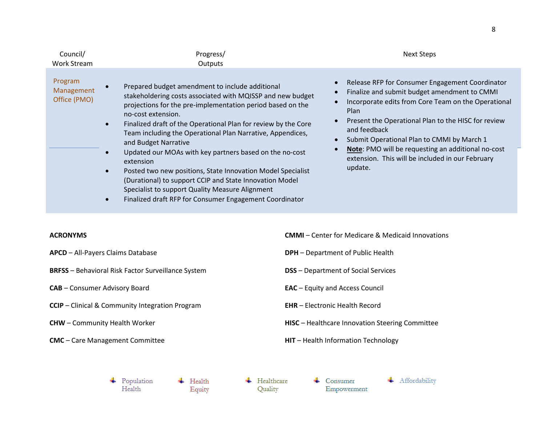| Council/<br>Work Stream               | Progress/<br>Outputs                                                                                                                                                                                                                                                                                                                                                                                                                                                                                                                                                                                                                                                      | <b>Next Steps</b>                                                                                                                                                                                                                                                                                                                                                                                               |  |
|---------------------------------------|---------------------------------------------------------------------------------------------------------------------------------------------------------------------------------------------------------------------------------------------------------------------------------------------------------------------------------------------------------------------------------------------------------------------------------------------------------------------------------------------------------------------------------------------------------------------------------------------------------------------------------------------------------------------------|-----------------------------------------------------------------------------------------------------------------------------------------------------------------------------------------------------------------------------------------------------------------------------------------------------------------------------------------------------------------------------------------------------------------|--|
| Program<br>Management<br>Office (PMO) | Prepared budget amendment to include additional<br>stakeholdering costs associated with MQISSP and new budget<br>projections for the pre-implementation period based on the<br>no-cost extension.<br>Finalized draft of the Operational Plan for review by the Core<br>Team including the Operational Plan Narrative, Appendices,<br>and Budget Narrative<br>Updated our MOAs with key partners based on the no-cost<br>extension<br>Posted two new positions, State Innovation Model Specialist<br>(Durational) to support CCIP and State Innovation Model<br>Specialist to support Quality Measure Alignment<br>Finalized draft RFP for Consumer Engagement Coordinator | Release RFP for Consumer Engagement Coordinator<br>Finalize and submit budget amendment to CMMI<br>Incorporate edits from Core Team on the Operational<br><b>Plan</b><br>Present the Operational Plan to the HISC for review<br>and feedback<br>Submit Operational Plan to CMMI by March 1<br>Note: PMO will be requesting an additional no-cost<br>extension. This will be included in our February<br>update. |  |

## **ACRONYMS**

- **APCD** All-Payers Claims Database
- **BRFSS** Behavioral Risk Factor Surveillance System
- **CAB** Consumer Advisory Board
- **CCIP** Clinical & Community Integration Program
- **CHW** Community Health Worker
- **CMC** Care Management Committee
- **CMMI** Center for Medicare & Medicaid Innovations
- **DPH** Department of Public Health
- **DSS** Department of Social Services
- **EAC** Equity and Access Council
- **EHR** Electronic Health Record
- **HISC** Healthcare Innovation Steering Committee
- **HIT** Health Information Technology

+ Population Health

 $\leftarrow$  Health Equity

 $\leftarrow$  Healthcare

Quality

 $\leftarrow$  Consumer Empowerment